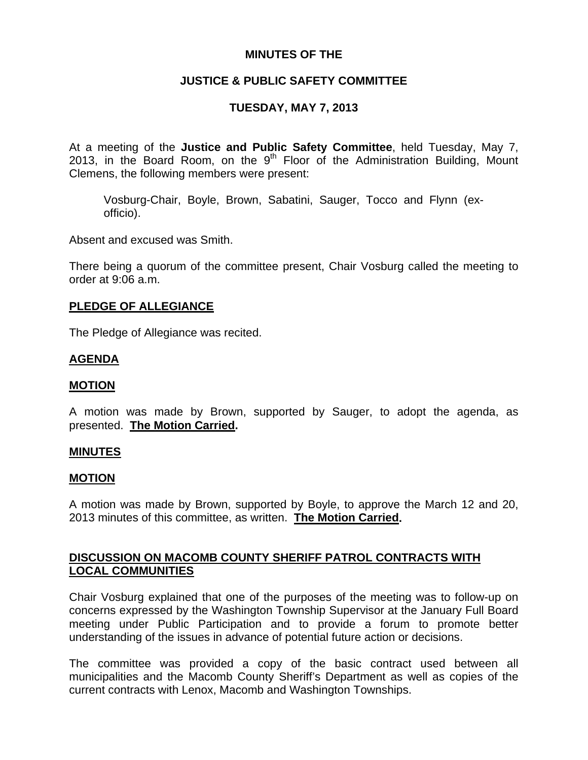# **MINUTES OF THE**

# **JUSTICE & PUBLIC SAFETY COMMITTEE**

# **TUESDAY, MAY 7, 2013**

At a meeting of the **Justice and Public Safety Committee**, held Tuesday, May 7, 2013, in the Board Room, on the  $9<sup>th</sup>$  Floor of the Administration Building, Mount Clemens, the following members were present:

Vosburg-Chair, Boyle, Brown, Sabatini, Sauger, Tocco and Flynn (exofficio).

Absent and excused was Smith.

There being a quorum of the committee present, Chair Vosburg called the meeting to order at 9:06 a.m.

### **PLEDGE OF ALLEGIANCE**

The Pledge of Allegiance was recited.

## **AGENDA**

### **MOTION**

A motion was made by Brown, supported by Sauger, to adopt the agenda, as presented. **The Motion Carried.** 

### **MINUTES**

#### **MOTION**

A motion was made by Brown, supported by Boyle, to approve the March 12 and 20, 2013 minutes of this committee, as written. **The Motion Carried.** 

# **DISCUSSION ON MACOMB COUNTY SHERIFF PATROL CONTRACTS WITH LOCAL COMMUNITIES**

Chair Vosburg explained that one of the purposes of the meeting was to follow-up on concerns expressed by the Washington Township Supervisor at the January Full Board meeting under Public Participation and to provide a forum to promote better understanding of the issues in advance of potential future action or decisions.

The committee was provided a copy of the basic contract used between all municipalities and the Macomb County Sheriff's Department as well as copies of the current contracts with Lenox, Macomb and Washington Townships.